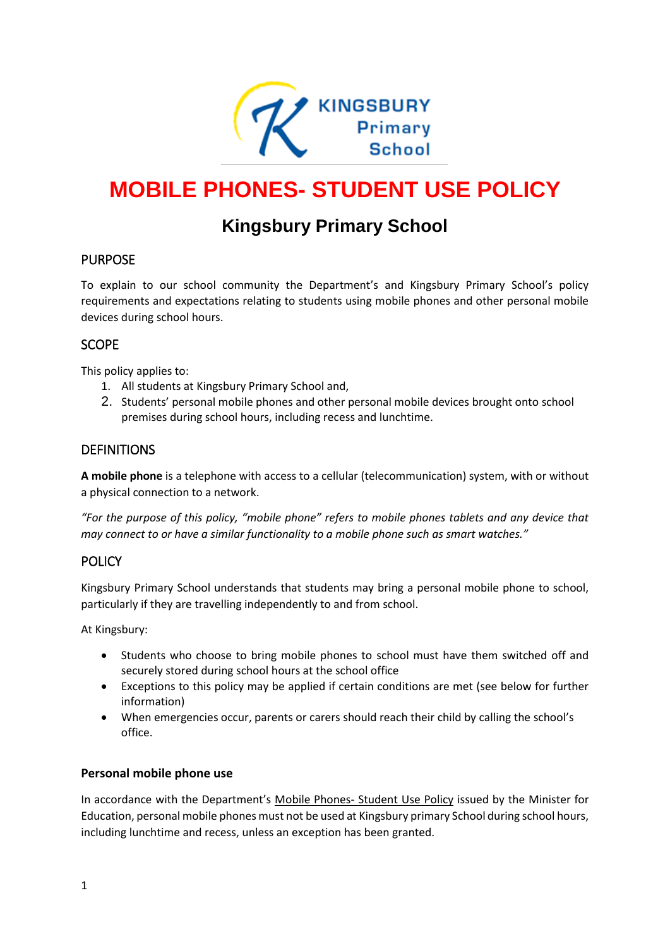

# **MOBILE PHONES- STUDENT USE POLICY**

# **Kingsbury Primary School**

# PURPOSE

To explain to our school community the Department's and Kingsbury Primary School's policy requirements and expectations relating to students using mobile phones and other personal mobile devices during school hours.

#### **SCOPE**

This policy applies to:

- 1. All students at Kingsbury Primary School and,
- 2. Students' personal mobile phones and other personal mobile devices brought onto school premises during school hours, including recess and lunchtime.

#### DEFINITIONS

**A mobile phone** is a telephone with access to a cellular (telecommunication) system, with or without a physical connection to a network.

*"For the purpose of this policy, "mobile phone" refers to mobile phones tablets and any device that may connect to or have a similar functionality to a mobile phone such as smart watches."*

# POLICY

Kingsbury Primary School understands that students may bring a personal mobile phone to school, particularly if they are travelling independently to and from school.

At Kingsbury:

- Students who choose to bring mobile phones to school must have them switched off and securely stored during school hours at the school office
- Exceptions to this policy may be applied if certain conditions are met (see below for further information)
- When emergencies occur, parents or carers should reach their child by calling the school's office.

#### **Personal mobile phone use**

In accordance with the Department's Mobile Phones- [Student Use Policy](https://www.education.vic.gov.au/school/principals/spag/safety/Pages/mobilephones.aspx) issued by the Minister for Education, personal mobile phones must not be used at Kingsbury primary School during school hours, including lunchtime and recess, unless an exception has been granted.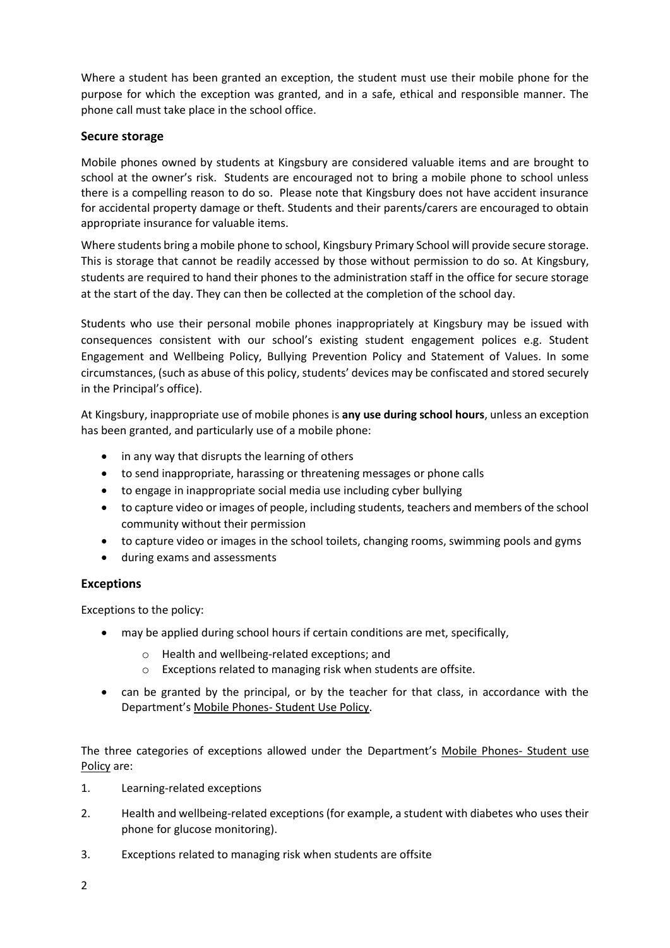Where a student has been granted an exception, the student must use their mobile phone for the purpose for which the exception was granted, and in a safe, ethical and responsible manner. The phone call must take place in the school office.

#### **Secure storage**

Mobile phones owned by students at Kingsbury are considered valuable items and are brought to school at the owner's risk. Students are encouraged not to bring a mobile phone to school unless there is a compelling reason to do so. Please note that Kingsbury does not have accident insurance for accidental property damage or theft. Students and their parents/carers are encouraged to obtain appropriate insurance for valuable items.

Where students bring a mobile phone to school, Kingsbury Primary School will provide secure storage. This is storage that cannot be readily accessed by those without permission to do so. At Kingsbury, students are required to hand their phones to the administration staff in the office for secure storage at the start of the day. They can then be collected at the completion of the school day.

Students who use their personal mobile phones inappropriately at Kingsbury may be issued with consequences consistent with our school's existing student engagement polices e.g. Student Engagement and Wellbeing Policy, Bullying Prevention Policy and Statement of Values. In some circumstances, (such as abuse of this policy, students' devices may be confiscated and stored securely in the Principal's office).

At Kingsbury, inappropriate use of mobile phones is **any use during school hours**, unless an exception has been granted, and particularly use of a mobile phone:

- in any way that disrupts the learning of others
- to send inappropriate, harassing or threatening messages or phone calls
- to engage in inappropriate social media use including cyber bullying
- to capture video or images of people, including students, teachers and members of the school community without their permission
- to capture video or images in the school toilets, changing rooms, swimming pools and gyms
- during exams and assessments

# **Exceptions**

Exceptions to the policy:

- may be applied during school hours if certain conditions are met, specifically,
	- o Health and wellbeing-related exceptions; and
	- o Exceptions related to managing risk when students are offsite.
- can be granted by the principal, or by the teacher for that class, in accordance with the Department's Mobile Phones- [Student Use Policy.](https://www.education.vic.gov.au/school/principals/spag/safety/Pages/mobilephones.aspx)

The three categories of exceptions allowed under the Department's [Mobile Phones-](https://www.education.vic.gov.au/school/principals/spag/safety/Pages/mobilephones.aspx) Student use [Policy](https://www.education.vic.gov.au/school/principals/spag/safety/Pages/mobilephones.aspx) are:

- 1. Learning-related exceptions
- 2. Health and wellbeing-related exceptions (for example, a student with diabetes who uses their phone for glucose monitoring).
- 3. Exceptions related to managing risk when students are offsite